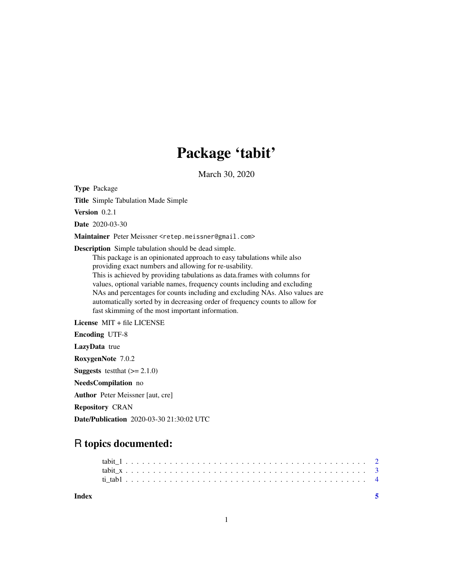# Package 'tabit'

March 30, 2020

Type Package

Title Simple Tabulation Made Simple

Version 0.2.1

Date 2020-03-30

Maintainer Peter Meissner <retep.meissner@gmail.com>

Description Simple tabulation should be dead simple.

This package is an opinionated approach to easy tabulations while also providing exact numbers and allowing for re-usability. This is achieved by providing tabulations as data.frames with columns for values, optional variable names, frequency counts including and excluding NAs and percentages for counts including and excluding NAs. Also values are automatically sorted by in decreasing order of frequency counts to allow for fast skimming of the most important information.

License MIT + file LICENSE

Encoding UTF-8

LazyData true

RoxygenNote 7.0.2

**Suggests** testthat  $(>= 2.1.0)$ 

NeedsCompilation no

Author Peter Meissner [aut, cre]

Repository CRAN

Date/Publication 2020-03-30 21:30:02 UTC

# R topics documented:

| Index |  |  |  |  |  |  |  |  |  |  |  |  |  |  |  |  |  |  |  |  |  |  |  |  |
|-------|--|--|--|--|--|--|--|--|--|--|--|--|--|--|--|--|--|--|--|--|--|--|--|--|
|       |  |  |  |  |  |  |  |  |  |  |  |  |  |  |  |  |  |  |  |  |  |  |  |  |
|       |  |  |  |  |  |  |  |  |  |  |  |  |  |  |  |  |  |  |  |  |  |  |  |  |
|       |  |  |  |  |  |  |  |  |  |  |  |  |  |  |  |  |  |  |  |  |  |  |  |  |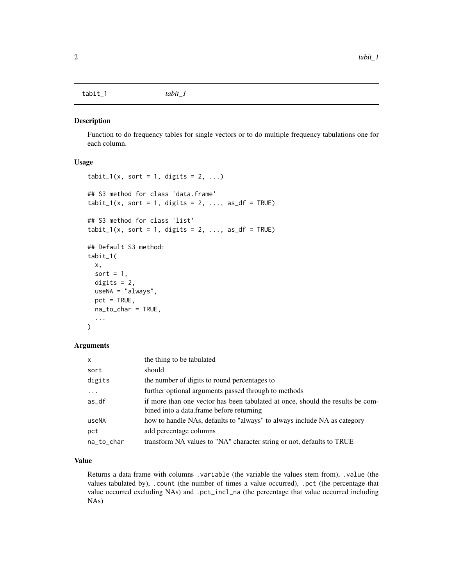<span id="page-1-0"></span>tabit\_1 *tabit\_1*

### Description

Function to do frequency tables for single vectors or to do multiple frequency tabulations one for each column.

# Usage

```
tabit_1(x, sort = 1, digits = 2, ...)## S3 method for class 'data.frame'
tabit_1(x, sort = 1, digits = 2, ..., as_df = TRUE)## S3 method for class 'list'
tabit_1(x, sort = 1, digits = 2, ..., as_d f = TRUE)## Default S3 method:
tabit_1(
 x,
  sort = 1,
 digits = 2,
 useNA = "always",
 pct = TRUE,na_to_char = TRUE,
  ...
\mathcal{E}
```
#### Arguments

| $\mathsf{x}$ | the thing to be tabulated                                                                                                  |
|--------------|----------------------------------------------------------------------------------------------------------------------------|
| sort         | should                                                                                                                     |
| digits       | the number of digits to round percentages to                                                                               |
| $\ddots$     | further optional arguments passed through to methods                                                                       |
| as_df        | if more than one vector has been tabulated at once, should the results be com-<br>bined into a data.frame before returning |
| useNA        | how to handle NAs, defaults to "always" to always include NA as category                                                   |
| pct          | add percentage columns                                                                                                     |
| na_to_char   | transform NA values to "NA" character string or not, defaults to TRUE                                                      |

## Value

Returns a data frame with columns .variable (the variable the values stem from), .value (the values tabulated by), .count (the number of times a value occurred), .pct (the percentage that value occurred excluding NAs) and .pct\_incl\_na (the percentage that value occurred including NAs)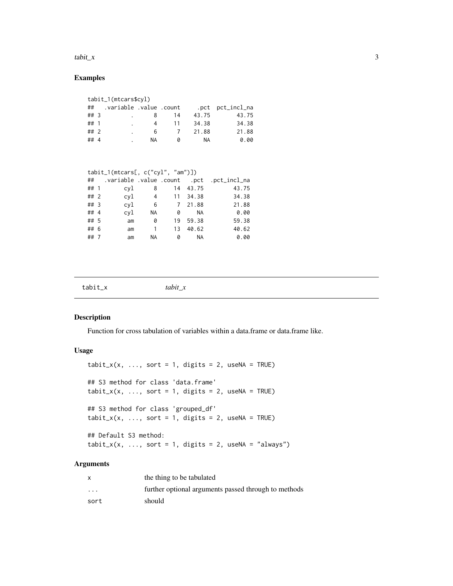#### <span id="page-2-0"></span> $\tanh_x$  3

# Examples

|      | tabit_1(mtcars\$cyl) |                         |    |    |       |                  |  |  |  |  |  |  |  |  |  |
|------|----------------------|-------------------------|----|----|-------|------------------|--|--|--|--|--|--|--|--|--|
| ##   |                      | variable .value .count. |    |    |       | .pct pct_incl_na |  |  |  |  |  |  |  |  |  |
| ## 3 |                      |                         | 8  | 14 | 43.75 | 43.75            |  |  |  |  |  |  |  |  |  |
| ## 1 |                      |                         | 4  | 11 | 34.38 | 34.38            |  |  |  |  |  |  |  |  |  |
| ## 2 |                      |                         | 6  |    | 21.88 | 21.88            |  |  |  |  |  |  |  |  |  |
| ##4  |                      |                         | ΝA | Ø  | NA.   | 0.00             |  |  |  |  |  |  |  |  |  |

|        | $tabit_1(mtcars[, c("cyl", "am")])$ |     |           |    |           |                                              |  |  |  |  |  |  |  |  |  |
|--------|-------------------------------------|-----|-----------|----|-----------|----------------------------------------------|--|--|--|--|--|--|--|--|--|
|        |                                     |     |           |    |           | ## .variable .value .count .pct .pct_incl_na |  |  |  |  |  |  |  |  |  |
| ## 1   |                                     | cyl | 8         |    | 14 43.75  | 43.75                                        |  |  |  |  |  |  |  |  |  |
| ##2    |                                     | cyl | 4         |    | 11 34.38  | 34.38                                        |  |  |  |  |  |  |  |  |  |
| $##$ 3 |                                     | cyl | 6         |    | 7 21.88   | 21.88                                        |  |  |  |  |  |  |  |  |  |
| ## 4   |                                     | cyl | <b>NA</b> | 0  | <b>NA</b> | 0.00                                         |  |  |  |  |  |  |  |  |  |
| ## 5   |                                     | am  | 0         | 19 | 59.38     | 59.38                                        |  |  |  |  |  |  |  |  |  |
| ## 6   |                                     | am  | 1         | 13 | 40.62     | 40.62                                        |  |  |  |  |  |  |  |  |  |
| ##7    |                                     | am  | <b>NA</b> | 0  | <b>NA</b> | 0.00                                         |  |  |  |  |  |  |  |  |  |

| $tabit_x$ | tabit x |
|-----------|---------|
|-----------|---------|

# Description

Function for cross tabulation of variables within a data.frame or data.frame like.

# Usage

```
tabit_x(x, ..., sort = 1, digits = 2, useNA = TRUE)## S3 method for class 'data.frame'
tabit_x(x, ..., sort = 1, digits = 2, useNA = TRUE)## S3 method for class 'grouped_df'
tabit_x(x, ..., sort = 1, digits = 2, useNA = TRUE)## Default S3 method:
tabit_x(x, ..., sort = 1, digits = 2, useNA = "always")
```
# Arguments

| x       | the thing to be tabulated                            |
|---------|------------------------------------------------------|
| $\cdot$ | further optional arguments passed through to methods |
| sort    | should                                               |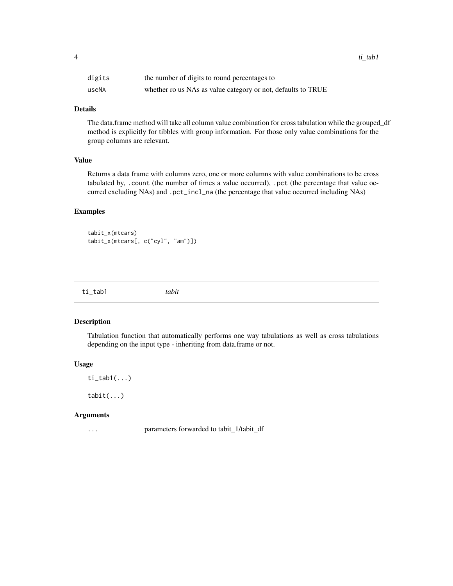<span id="page-3-0"></span>4 ti\_tab1 ti\_tab1 ti\_tab1 ti\_tab1 ti\_tab1 ti\_tab1 ti\_tab1 ti\_tab1 ti\_tab1 ti\_tab1 ti\_tab1 ti\_tab1 ti

| digits | the number of digits to round percentages to                 |
|--------|--------------------------------------------------------------|
| useNA  | whether ro us NAs as value category or not, defaults to TRUE |

# Details

The data.frame method will take all column value combination for cross tabulation while the grouped\_df method is explicitly for tibbles with group information. For those only value combinations for the group columns are relevant.

# Value

Returns a data frame with columns zero, one or more columns with value combinations to be cross tabulated by, .count (the number of times a value occurred), .pct (the percentage that value occurred excluding NAs) and .pct\_incl\_na (the percentage that value occurred including NAs)

# Examples

```
tabit_x(mtcars)
tabit_x(mtcars[, c("cyl", "am")])
```

| tah1<br>$+1$<br>$     -$ | abu |  |
|--------------------------|-----|--|
|                          |     |  |

# Description

Tabulation function that automatically performs one way tabulations as well as cross tabulations depending on the input type - inheriting from data.frame or not.

### Usage

 $ti\_tab1(...)$ 

tabit(...)

## Arguments

... parameters forwarded to tabit\_1/tabit\_df